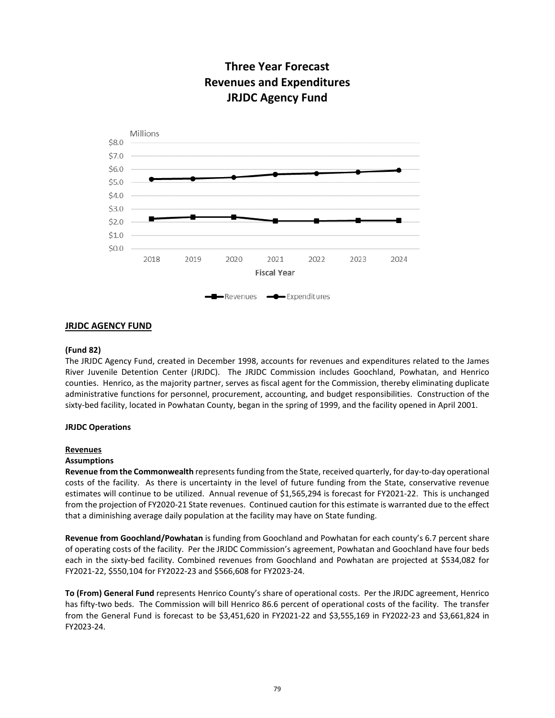

# **Three Year Forecast Revenues and Expenditures JRJDC Agency Fund**

## **JRJDC AGENCY FUND**

# **(Fund 82)**

The JRJDC Agency Fund, created in December 1998, accounts for revenues and expenditures related to the James River Juvenile Detention Center (JRJDC). The JRJDC Commission includes Goochland, Powhatan, and Henrico counties. Henrico, as the majority partner, serves as fiscal agent for the Commission, thereby eliminating duplicate administrative functions for personnel, procurement, accounting, and budget responsibilities. Construction of the sixty-bed facility, located in Powhatan County, began in the spring of 1999, and the facility opened in April 2001.

#### **JRJDC Operations**

#### **Revenues**

#### **Assumptions**

**Revenue from the Commonwealth** represents funding from the State, received quarterly, for day-to-day operational costs of the facility. As there is uncertainty in the level of future funding from the State, conservative revenue estimates will continue to be utilized. Annual revenue of \$1,565,294 is forecast for FY2021-22. This is unchanged from the projection of FY2020-21 State revenues. Continued caution for this estimate is warranted due to the effect that a diminishing average daily population at the facility may have on State funding.

**Revenue from Goochland/Powhatan** is funding from Goochland and Powhatan for each county's 6.7 percent share of operating costs of the facility. Per the JRJDC Commission's agreement, Powhatan and Goochland have four beds each in the sixty-bed facility. Combined revenues from Goochland and Powhatan are projected at \$534,082 for FY2021-22, \$550,104 for FY2022-23 and \$566,608 for FY2023-24.

**To (From) General Fund** represents Henrico County's share of operational costs. Per the JRJDC agreement, Henrico has fifty-two beds. The Commission will bill Henrico 86.6 percent of operational costs of the facility. The transfer from the General Fund is forecast to be \$3,451,620 in FY2021-22 and \$3,555,169 in FY2022-23 and \$3,661,824 in FY2023-24.